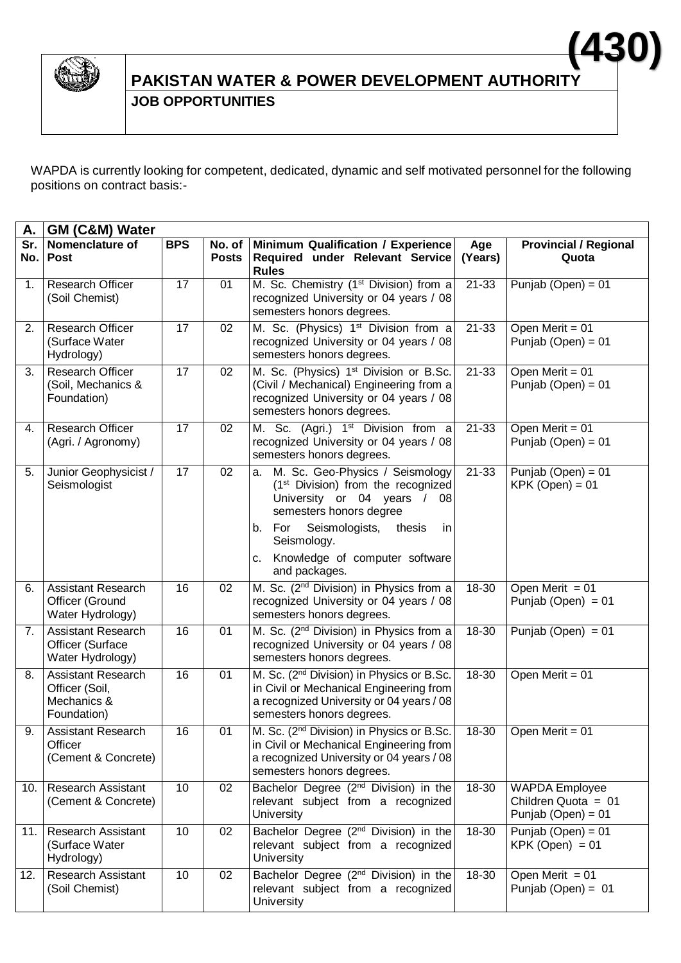

## **PAKISTAN WATER & POWER DEVELOPMENT AUTHORITY JOB OPPORTUNITIES (430)**

WAPDA is currently looking for competent, dedicated, dynamic and self motivated personnel for the following positions on contract basis:-

| А.         | GM (C&M) Water                                                            |            |                        |                                                                                                                                                                                           |                |                                                                        |  |  |  |
|------------|---------------------------------------------------------------------------|------------|------------------------|-------------------------------------------------------------------------------------------------------------------------------------------------------------------------------------------|----------------|------------------------------------------------------------------------|--|--|--|
| Sr.<br>No. | Nomenclature of<br><b>Post</b>                                            | <b>BPS</b> | No. of<br><b>Posts</b> | Minimum Qualification / Experience<br>Required under Relevant Service<br><b>Rules</b>                                                                                                     | Age<br>(Years) | <b>Provincial / Regional</b><br>Quota                                  |  |  |  |
| 1.         | <b>Research Officer</b><br>(Soil Chemist)                                 | 17         | 01                     | M. Sc. Chemistry (1 <sup>st</sup> Division) from a<br>recognized University or 04 years / 08<br>semesters honors degrees.                                                                 | 21-33          | Punjab (Open) = $01$                                                   |  |  |  |
| 2.         | <b>Research Officer</b><br>(Surface Water<br>Hydrology)                   | 17         | 02                     | M. Sc. (Physics) 1 <sup>st</sup> Division from a<br>recognized University or 04 years / 08<br>semesters honors degrees.                                                                   | 21-33          | Open Merit = $01$<br>Punjab (Open) = $01$                              |  |  |  |
| 3.         | <b>Research Officer</b><br>(Soil, Mechanics &<br>Foundation)              | 17         | 02                     | M. Sc. (Physics) 1 <sup>st</sup> Division or B.Sc.<br>(Civil / Mechanical) Engineering from a<br>recognized University or 04 years / 08<br>semesters honors degrees.                      | $21 - 33$      | Open Merit = 01<br>Punjab (Open) = 01                                  |  |  |  |
| 4.         | <b>Research Officer</b><br>(Agri. / Agronomy)                             | 17         | 02                     | M. Sc. (Agri.) 1 <sup>st</sup> Division from a<br>recognized University or 04 years / 08<br>semesters honors degrees.                                                                     | 21-33          | Open Merit = $01$<br>Punjab (Open) = 01                                |  |  |  |
| 5.         | Junior Geophysicist /<br>Seismologist                                     | 17         | 02                     | M. Sc. Geo-Physics / Seismology<br>a.<br>$(1st Division)$ from the recognized<br>University or 04 years /<br>08<br>semesters honors degree<br>For<br>Seismologists,<br>thesis<br>b.<br>in | 21-33          | Punjab (Open) = $01$<br>$KPK (Open) = 01$                              |  |  |  |
|            |                                                                           |            |                        | Seismology.<br>Knowledge of computer software<br>c.<br>and packages.                                                                                                                      |                |                                                                        |  |  |  |
| 6.         | <b>Assistant Research</b><br>Officer (Ground<br>Water Hydrology)          | 16         | 02                     | M. Sc. (2 <sup>nd</sup> Division) in Physics from a<br>recognized University or 04 years / 08<br>semesters honors degrees.                                                                | 18-30          | Open Merit $= 01$<br>Punjab (Open) = $01$                              |  |  |  |
| 7.         | <b>Assistant Research</b><br>Officer (Surface<br>Water Hydrology)         | 16         | 01                     | M. Sc. (2 <sup>nd</sup> Division) in Physics from a<br>recognized University or 04 years / 08<br>semesters honors degrees.                                                                | 18-30          | Punjab (Open) = $01$                                                   |  |  |  |
| 8.         | <b>Assistant Research</b><br>Officer (Soil,<br>Mechanics &<br>Foundation) | 16         | 01                     | M. Sc. (2 <sup>nd</sup> Division) in Physics or B.Sc.<br>in Civil or Mechanical Engineering from<br>a recognized University or 04 years / 08<br>semesters honors degrees.                 | 18-30          | Open Merit = 01                                                        |  |  |  |
| 9.         | <b>Assistant Research</b><br>Officer<br>(Cement & Concrete)               | 16         | 01                     | M. Sc. (2 <sup>nd</sup> Division) in Physics or B.Sc.<br>in Civil or Mechanical Engineering from<br>a recognized University or 04 years / 08<br>semesters honors degrees.                 | 18-30          | Open Merit = $\overline{01}$                                           |  |  |  |
| 10.        | <b>Research Assistant</b><br>(Cement & Concrete)                          | 10         | 02                     | Bachelor Degree (2 <sup>nd</sup> Division) in the<br>relevant subject from a recognized<br>University                                                                                     | 18-30          | <b>WAPDA</b> Employee<br>Children Quota = $01$<br>Punjab (Open) = $01$ |  |  |  |
| 11.        | <b>Research Assistant</b><br>(Surface Water<br>Hydrology)                 | 10         | 02                     | Bachelor Degree (2 <sup>nd</sup> Division) in the<br>relevant subject from a recognized<br>University                                                                                     | 18-30          | Punjab (Open) = $01$<br>$KPK (Open) = 01$                              |  |  |  |
| 12.        | <b>Research Assistant</b><br>(Soil Chemist)                               | 10         | 02                     | Bachelor Degree (2 <sup>nd</sup> Division) in the<br>relevant subject from a recognized<br>University                                                                                     | 18-30          | Open Merit = $01$<br>Punjab (Open) = $01$                              |  |  |  |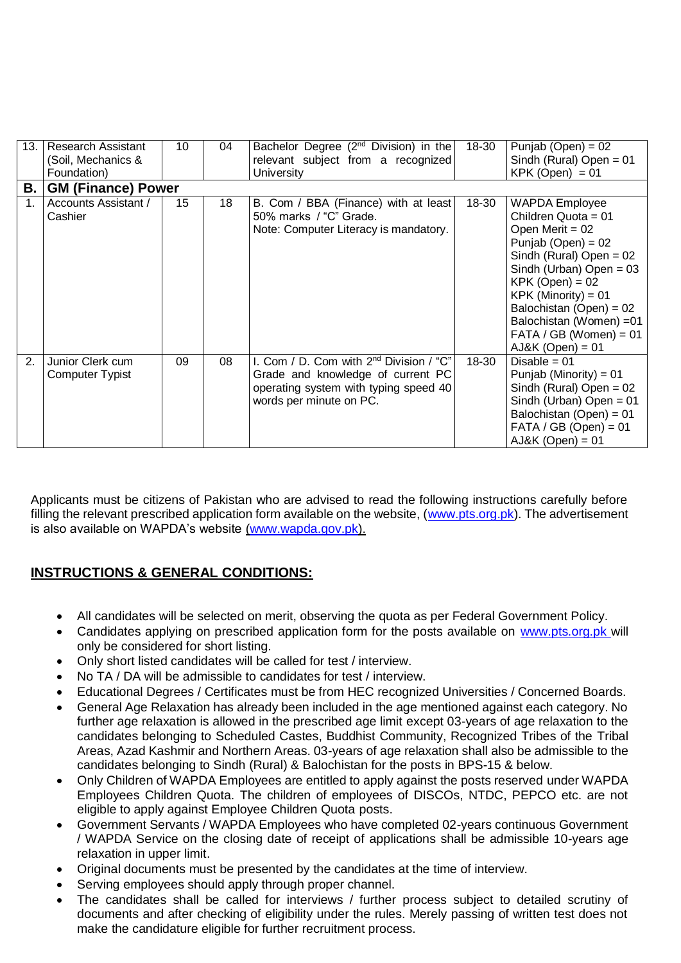| 13. | <b>Research Assistant</b>       | 10 | 04 | Bachelor Degree (2 <sup>nd</sup> Division) in the              | 18-30 | Punjab (Open) = $02$                           |  |  |  |  |
|-----|---------------------------------|----|----|----------------------------------------------------------------|-------|------------------------------------------------|--|--|--|--|
|     | (Soil, Mechanics &              |    |    | relevant subject from a recognized                             |       | Sindh (Rural) Open = $01$                      |  |  |  |  |
|     | Foundation)                     |    |    | University                                                     |       | $KPK (Open) = 01$                              |  |  |  |  |
| В.  | <b>GM (Finance) Power</b>       |    |    |                                                                |       |                                                |  |  |  |  |
|     | Accounts Assistant /<br>Cashier | 15 | 18 | B. Com / BBA (Finance) with at least<br>50% marks / "C" Grade. | 18-30 | <b>WAPDA Employee</b><br>Children Quota = $01$ |  |  |  |  |
|     |                                 |    |    | Note: Computer Literacy is mandatory.                          |       | Open Merit = $02$                              |  |  |  |  |
|     |                                 |    |    |                                                                |       | Punjab (Open) = $02$                           |  |  |  |  |
|     |                                 |    |    |                                                                |       | Sindh (Rural) Open = $02$                      |  |  |  |  |
|     |                                 |    |    |                                                                |       | Sindh (Urban) Open = $03$                      |  |  |  |  |
|     |                                 |    |    |                                                                |       | $KPK (Open) = 02$                              |  |  |  |  |
|     |                                 |    |    |                                                                |       | $KPK$ (Minority) = 01                          |  |  |  |  |
|     |                                 |    |    |                                                                |       | Balochistan (Open) = 02                        |  |  |  |  |
|     |                                 |    |    |                                                                |       | Balochistan (Women) = 01                       |  |  |  |  |
|     |                                 |    |    |                                                                |       | $FATA / GB (Women) = 01$                       |  |  |  |  |
|     |                                 |    |    |                                                                |       | $AJ&K$ (Open) = 01                             |  |  |  |  |
| 2.  | Junior Clerk cum                | 09 | 08 | I. Com / D. Com with 2 <sup>nd</sup> Division / "C"            | 18-30 | Disable = $01$                                 |  |  |  |  |
|     | Computer Typist                 |    |    | Grade and knowledge of current PC                              |       | Punjab (Minority) = $01$                       |  |  |  |  |
|     |                                 |    |    | operating system with typing speed 40                          |       | Sindh (Rural) Open = $02$                      |  |  |  |  |
|     |                                 |    |    | words per minute on PC.                                        |       | Sindh (Urban) Open = $01$                      |  |  |  |  |
|     |                                 |    |    |                                                                |       | Balochistan (Open) = 01                        |  |  |  |  |
|     |                                 |    |    |                                                                |       | $FATA / GB (Open) = 01$                        |  |  |  |  |
|     |                                 |    |    |                                                                |       | $AJ&K$ (Open) = 01                             |  |  |  |  |

Applicants must be citizens of Pakistan who are advised to read the following instructions carefully before filling the relevant prescribed application form available on the website, [\(www.pts.org.pk\)](http://www.pts.org.pk/). The advertisement is also available on WAPDA's website [\(www.wapda.gov.pk\)](http://www.wapda.gov.pk/).

## **INSTRUCTIONS & GENERAL CONDITIONS:**

- All candidates will be selected on merit, observing the quota as per Federal Government Policy.
- Candidates applying on prescribed application form for the posts available on [www.pts.org.pk](http://www.pts.org.pk/) will only be considered for short listing.
- Only short listed candidates will be called for test / interview.
- No TA / DA will be admissible to candidates for test / interview.
- Educational Degrees / Certificates must be from HEC recognized Universities / Concerned Boards.
- General Age Relaxation has already been included in the age mentioned against each category. No further age relaxation is allowed in the prescribed age limit except 03-years of age relaxation to the candidates belonging to Scheduled Castes, Buddhist Community, Recognized Tribes of the Tribal Areas, Azad Kashmir and Northern Areas. 03-years of age relaxation shall also be admissible to the candidates belonging to Sindh (Rural) & Balochistan for the posts in BPS-15 & below.
- Only Children of WAPDA Employees are entitled to apply against the posts reserved under WAPDA Employees Children Quota. The children of employees of DISCOs, NTDC, PEPCO etc. are not eligible to apply against Employee Children Quota posts.
- Government Servants / WAPDA Employees who have completed 02-years continuous Government / WAPDA Service on the closing date of receipt of applications shall be admissible 10-years age relaxation in upper limit.
- Original documents must be presented by the candidates at the time of interview.
- Serving employees should apply through proper channel.
- The candidates shall be called for interviews / further process subject to detailed scrutiny of documents and after checking of eligibility under the rules. Merely passing of written test does not make the candidature eligible for further recruitment process.